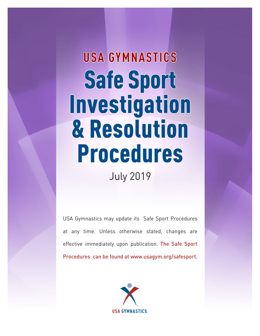# **USA GYMNASTICS** Safe Sport Investigation & Resolution **Procedures**

July 2019

USA Gymnastics may update its Safe Sport Procedures at any time. Unless otherwise stated, changes are effective immediately upon publication. The Safe Sport Procedures can be found at www.usagym.org/safesport.

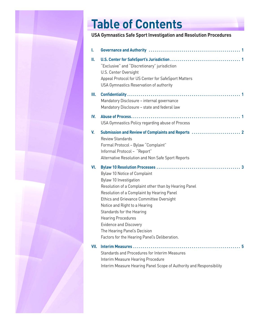# **Table of Contents**

### **USA Gymnastics Safe Sport Investigation and Resolution Procedures**

| ı.   |                                                                                                                                                                                                                                                                                                                                                                                                                        |
|------|------------------------------------------------------------------------------------------------------------------------------------------------------------------------------------------------------------------------------------------------------------------------------------------------------------------------------------------------------------------------------------------------------------------------|
| Ш.   | "Exclusive" and "Discretionary" jurisdiction<br>U.S. Center Oversight<br>Appeal Protocol for US Center for SafeSport Matters<br>USA Gymnastics Reservation of authority                                                                                                                                                                                                                                                |
| Ш.   | Mandatory Disclosure - internal governance<br>Mandatory Disclosure - state and federal law                                                                                                                                                                                                                                                                                                                             |
| IV.  | USA Gymnastics Policy regarding abuse of Process                                                                                                                                                                                                                                                                                                                                                                       |
| V.   | <b>Review Standards</b><br>Formal Protocol - Bylaw "Complaint"<br>Informal Protocol - "Report"<br>Alternative Resolution and Non Safe Sport Reports                                                                                                                                                                                                                                                                    |
| VI.  | Bylaw 10 Notice of Complaint<br>Bylaw 10 Investigation<br>Resolution of a Complaint other than by Hearing Panel<br>Resolution of a Complaint by Hearing Panel<br>Ethics and Grievance Committee Oversight<br>Notice and Right to a Hearing<br>Standards for the Hearing<br><b>Hearing Procedures</b><br><b>Evidence and Discovery</b><br>The Hearing Panel's Decision<br>Factors for the Hearing Panel's Deliberation. |
| VII. | Standards and Procedures for Interim Measures<br>Interim Measure Hearing Procedure<br>Interim Measure Hearing Panel Scope of Authority and Responsibility                                                                                                                                                                                                                                                              |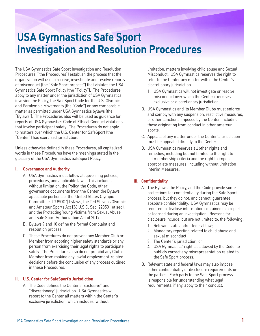The USA Gymnastics Safe Sport Investigation and Resolution Procedures ("the Procedures") establish the process that the organization will use to receive, investigate and resolve reports of misconduct (the "Safe Sport process") that violates the USA Gymnastics Safe Sport Policy (the "Policy"). The Procedures apply to any matter under the jurisdiction of USA Gymnastics involving the Policy, the SafeSport Code for the U.S. Olympic and Paralympic Movements (the "Code") or any comparable matter as permitted under USA Gymnastics bylaws (the "Bylaws"). The Procedures also will be used as guidance for reports of USA Gymnastics Code of Ethical Conduct violations that involve participant safety. The Procedures do not apply to matters over which the U.S. Center for SafeSport (the "Center") has exercised jurisdiction.

Unless otherwise defined in these Procedures, all capitalized words in these Procedures have the meanings stated in the glossary of the USA Gymnastics SafeSport Policy.

#### **I. Governance and Authority**

- A. USA Gymnastics must follow all governing policies, procedures, and applicable laws. This includes, without limitation, the Policy, the Code, other governance documents from the Center, the Bylaws, applicable portions of the United States Olympic Committee's ("USOC") bylaws, the Ted Stevens Olympic and Amateur Sports Act (36 U.S.C. Sec. 220501 et seq), and the Protecting Young Victims from Sexual Abuse and Safe Sport Authorization Act of 2017.
- B. Bylaws 9 and 10 define the formal Complaint and resolution process.
- C. These Procedures do not prevent any Member Club or Member from adopting higher safety standards or any person from exercising their legal rights to participate safely. The Procedures also do not prohibit any Club or Member from making any lawful employment-related decisions before the conclusion of any process outlined in these Procedures.

#### **II. U.S. Center for SafeSport's Jurisdiction**

A. The Code defines the Center's "exclusive" and "discretionary" jurisdiction. USA Gymnastics will report to the Center all matters within the Center's exclusive jurisdiction, which includes, without

limitation, matters involving child abuse and Sexual Misconduct. USA Gymnastics reserves the right to refer to the Center any matter within the Center's discretionary jurisdiction.

- 1. USA Gymnastics will not investigate or resolve misconduct over which the Center exercises exclusive or discretionary jurisdiction.
- B. USA Gymnastics and its Member Clubs must enforce and comply with any suspension, restrictive measures, or other sanctions imposed by the Center, including those originating from conduct in other amateur sports.
- C. Appeals of any matter under the Center's jurisdiction must be appealed directly to the Center.
- D. USA Gymnastics reserves all other rights and remedies, including but not limited to the right to set membership criteria and the right to impose appropriate measures, including without limitation Interim Measures.

#### **III. Confidentiality**

- A. The Bylaws, the Policy, and the Code provide some protections for confidentiality during the Safe Sport process, but they do not, and cannot, guarantee absolute confidentiality. USA Gymnastics may be required to disclose information contained in a report or learned during an investigation. Reasons for disclosure include, but are not limited to, the following:
	- 1. Relevant state and/or federal law;
	- 2. Mandatory reporting related to child abuse and sexual misconduct;
	- 3. The Center's jurisdiction; or
	- 4. USA Gymnastics' right, as allowed by the Code, to publicly correct any misrepresentation related to the Safe Sport process.
- B. Relevant state and federal laws may also impose either confidentiality or disclosure requirements on the parties. Each party to the Safe Sport process is responsible for understanding what legal requirements, if any, apply to their conduct.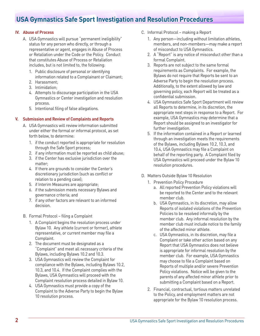#### **IV. Abuse of Process**

- A. USA Gymnastics will pursue "permanent ineligibility" status for any person who directly, or through a representative or agent, engages in Abuse of Process or Retaliation under the Code or the Policy. Conduct that constitutes Abuse of Process or Retaliation includes, but is not limited to, the following:
	- 1. Public disclosure of personal or identifying information related to a Complainant or Claimant;
	- 2. Harassment;
	- 3. Intimidation;
	- 4. Attempts to discourage participation in the USA Gymnastics or Center investigation and resolution process.
	- 5. Intentional filing of false allegations.

#### **V. Submission and Review of Complaints and Reports**

- A. USA Gymnastics will review information submitted under either the formal or informal protocol, as set forth below, to determine:
	- 1. if the conduct reported is appropriate for resolution through the Safe Sport process;
	- 2. if any information must be reported as child abuse;
	- 3. if the Center has exclusive jurisdiction over the matter;
	- 4. If there are grounds to consider the Center's discretionary jurisdiction (such as conflict or relation to a pending case);
	- 5. if Interim Measures are appropriate;
	- 6. if the submission meets necessary Bylaws and governance criteria; and
	- 7. if any other factors are relevant to an informed decision.
- B. Formal Protocol filing a Complaint
	- 1. A Complaint begins the resolution process under Bylaw 10. Any athlete (current or former), athlete representative, or current member may file a Complaint.
	- 2. The document must be designated as a "Complaint" and meet all necessary criteria of the Bylaws, including Bylaws 10.2 and 10.3.
	- 3. USA Gymnastics will review the Complaint for compliance with the Bylaws, including Bylaws 10.2, 10.3, and 10.4. If the Complaint complies with the Bylaws, USA Gymnastics will proceed with the Complaint resolution process detailed in Bylaw 10.
	- 4. USA Gymnastics must provide a copy of the Complaint to the Adverse Party to begin the Bylaw 10 resolution process.
- C. Informal Protocol making a Report
	- 1. Any person—including without limitation athletes, members, and non-members—may make a report of misconduct to USA Gymnastics.
	- 2. A "Report" is any notice of misconduct other than a formal Complaint.
	- 3. Reports are not subject to the same formal requirements as Complaints. For example, the Bylaws do not require that Reports be sent to an Adverse Party to begin the resolution process. Additionally, to the extent allowed by law and governing policy, each Report will be treated as a confidential submission.
	- 4. USA Gymnastics Safe Sport Department will review all Reports to determine, in its discretion, the appropriate next steps in response to a Report. For example, USA Gymnastics may determine that a Report should be assigned to an investigator for further investigation.
	- 5. If the information contained in a Report or learned through an investigation meets the requirements of the Bylaws, including Bylaws 10.2, 10.3, and 10.4, USA Gymnastics may file a Complaint on behalf of the reporting party. A Complaint filed by USA Gymnastics will proceed under the Bylaw 10 resolution procedures.
- D. Matters Outside Bylaw 10 Resolution
	- 1. Prevention Policy Procedure
		- a. All reported Prevention Policy violations will be reported to the Center and to the relevant member club.
		- b. USA Gymnastics, in its discretion, may allow Reports of isolated violations of the Prevention Policies to be resolved informally by the member club. Any informal resolution by the member club must include notice to the family of the affected minor athlete.
		- c. USA Gymnastics, in its discretion, may file a Complaint or take other action based on any Report that USA Gymnastics does not believe is appropriate for informal resolution by the member club. For example, USA Gymnastics may choose to file a Complaint based on Reports of multiple and/or severe Prevention Policy violations. Notice will be given to the parents of any affected minor athlete prior to submitting a Complaint based on a Report.
	- 2. Financial, contractual, tortious matters unrelated to the Policy, and employment matters are not appropriate for the Bylaw 10 resolution process.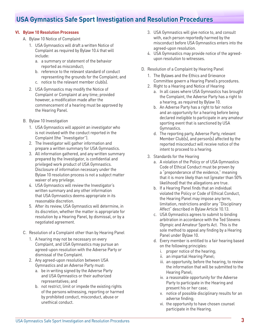#### **VI. Bylaw 10 Resolution Processes**

- A. Bylaw 10 Notice of Complaint
	- 1. USA Gymnastics will draft a written Notice of Complaint as required by Bylaw 10.4 that will include:
		- a. a summary or statement of the behavior reported as misconduct;
		- b. reference to the relevant standard of conduct representing the grounds for the Complaint; and
		- c. notice to the relevant member club(s).
	- 2. USA Gymnastics may modify the Notice of Complaint or Complaint at any time; provided however, a modification made after the commencement of a hearing must be approved by the Hearing Panel.
- B. Bylaw 10 Investigation
	- 1. USA Gymnastics will appoint an investigator who is not involved with the conduct reported in the Complaint (the "Investigator").
	- 2. The Investigator will gather information and prepare a written summary for USA Gymnastics.
	- 3. All information gathered, and any written summary prepared by the Investigator, is confidential and privileged work product of USA Gymnastics. Disclosure of information necessary under the Bylaw 10 resolution process is not a subject matter waiver of any privilege.
	- 4. USA Gymnastics will review the Investigator's written summary and any other information that USA Gymnastics deems appropriate in its reasonable discretion.
	- 5. After its review, USA Gymnastics will determine, in its discretion, whether the matter is appropriate for resolution by a Hearing Panel, by dismissal, or by a negotiated agreement.
- C. Resolution of a Complaint other than by Hearing Panel
	- 1. A hearing may not be necessary on every Complaint, and USA Gymnastics may pursue an agreed-upon resolution with the Adverse Party or dismissal of the Complaint.
	- 2. Any agreed-upon resolution between USA Gymnastics and an Adverse Party must:
		- a. be in writing signed by the Adverse Party and USA Gymnastics or their authorized representatives; and
		- b. not restrict, limit or impede the existing rights of the persons witnessing, reporting or harmed by prohibited conduct, misconduct, abuse or unethical conduct.
- 3. USA Gymnastics will give notice to, and consult with, each person reportedly harmed by the misconduct before USA Gymnastics enters into the agreed-upon resolution.
- 4. USA Gymnastics may provide notice of the agreedupon resolution to witnesses.
- D. Resolution of a Complaint by Hearing Panel
	- 1. The Bylaws and the Ethics and Grievance Committee govern a Hearing Panel's procedures.
	- 2. Right to a Hearing and Notice of Hearing
		- a. In all cases where USA Gymnastics has brought the Complaint, the Adverse Party has a right to a hearing, as required by Bylaw 10.
		- b. An Adverse Party has a right to fair notice and an opportunity for a hearing before being declared ineligible to participate in any amateur sporting event that is sanctioned by USA Gymnastics.
		- d. The reporting party, Adverse Party, relevant Member Club(s), and person(s) affected by the reported misconduct will receive notice of the intent to proceed to a hearing.
	- 3. Standards for the Hearing
		- a. A violation of the Policy or of USA Gymnastics Code of Ethical Conduct must be proven by a "preponderance of the evidence," meaning that it is more likely than not (greater than 50% likelihood) that the allegations are true.
		- b. If a Hearing Panel finds that an individual violated the Policy or Code of Ethical Conduct, the Hearing Panel may impose any term, limitation, restrictions and/or any "Disciplinary Affect" described in Bylaw Article 10.13.
		- c. USA Gymnastics agrees to submit to binding arbitration in accordance with the Ted Stevens Olympic and Amateur Sports Act. This is the sole method to appeal any finding by a Hearing Panel under Bylaw 10.
		- d. Every member is entitled to a fair hearing based on the following principles:
			- i. proper notice of the hearing;
			- ii. an impartial Hearing Panel;
			- iii. an opportunity, before the hearing, to review the information that will be submitted to the Hearing Panel;
			- iv. a reasonable opportunity for the Adverse Party to participate in the Hearing and present his or her case;
			- v. notice of possible disciplinary results for an adverse finding;
			- vi. the opportunity to have chosen counsel participate in the Hearing.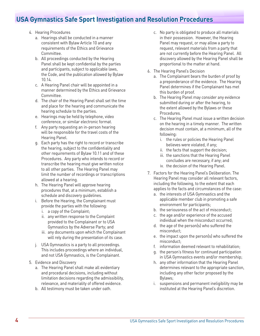- 4. Hearing Procedures
	- a. Hearings shall be conducted in a manner consistent with Bylaw Article 10 and any requirements of the Ethics and Grievance Committee.
	- b. All proceedings conducted by the Hearing Panel shall be kept confidential by the parties and participants, subject to applicable laws, the Code, and the publication allowed by Bylaw 10.14.
	- c. A Hearing Panel chair will be appointed in a manner determined by the Ethics and Grievance Committee.
	- d. The chair of the Hearing Panel shall set the time and place for the hearing and communicate the hearing schedule to the parties.
	- e. Hearings may be held by telephone, video conference, or similar electronic format.
	- f. Any party requesting an in-person hearing will be responsible for the travel costs of the Hearing Panel.
	- g. Each party has the right to record or transcribe the hearing, subject to the confidentiality and other requirements of Bylaw 10.11 and of these Procedures. Any party who intends to record or transcribe the hearing must give written notice to all other parties. The Hearing Panel may limit the number of recordings or transcriptions allowed at a hearing.
	- h. The Hearing Panel will approve hearing procedures that, at a minimum, establish a schedule and discovery guidelines.
	- i. Before the Hearing, the Complainant must provide the parties with the following:
		- i. a copy of the Complaint;
		- ii. any written response to the Complaint provided to the Complainant or to USA Gymnastics by the Adverse Party; and
		- iii. any documents upon which the Complainant will rely during the presentation of its case.
	- j. USA Gymnastics is a party to all proceedings. This includes proceedings where an individual, and not USA Gymnastics, is the Complainant.
- 5. Evidence and Discovery
	- a. The Hearing Panel shall make all evidentiary and procedural decisions, including without limitation decisions regarding the admissibility, relevance, and materiality of offered evidence.
	- b. All testimony must be taken under oath.
- c. No party is obligated to produce all materials in their possession. However, the Hearing Panel may request, or may allow a party to request, relevant materials from a party that are not currently before the Hearing Panel. All discovery allowed by the Hearing Panel shall be proportional to the matter at hand.
- 6. The Hearing Panel's Decision
	- a. The Complainant bears the burden of proof by a preponderance of the evidence. The Hearing Panel determines if the Complainant has met this burden of proof.
	- b. The Hearing Panel may consider any evidence submitted during or after the hearing, to the extent allowed by the Bylaws or these Procedures.
	- c. The Hearing Panel must issue a written decision on the hearing in a timely manner. The written decision must contain, at a minimum, all of the following:
		- i. the rules or policies the Hearing Panel believes were violated, if any;
		- ii. the facts that support the decision;
		- iii. the sanctions that the Hearing Panel concludes are necessary, if any; and
		- iv. the decision of the Hearing Panel.
- 7. Factors for the Hearing Panel's Deliberation. The Hearing Panel may consider all relevant factors, including the following, to the extent that each applies to the facts and circumstances of the case:
	- a. the interests of USA Gymnastics and the applicable member club in promoting a safe environment for participants;
	- b. the seriousness of the act of misconduct;
	- c. the age and/or experience of the accused individual when the misconduct occurred;
	- d. the age of the person(s) who suffered the misconduct;
	- e. the impact upon the person(s) who suffered the misconduct;
	- f. information deemed relevant to rehabilitation;
	- g. the person's fitness for continued participation in USA Gymnastics events and/or membership;
	- h. any other information that the Hearing Panel determines relevant to the appropriate sanction, including any other factor proposed by the Bylaws;
	- i. suspensions and permanent ineligibility may be instituted at the Hearing Panel's discretion.